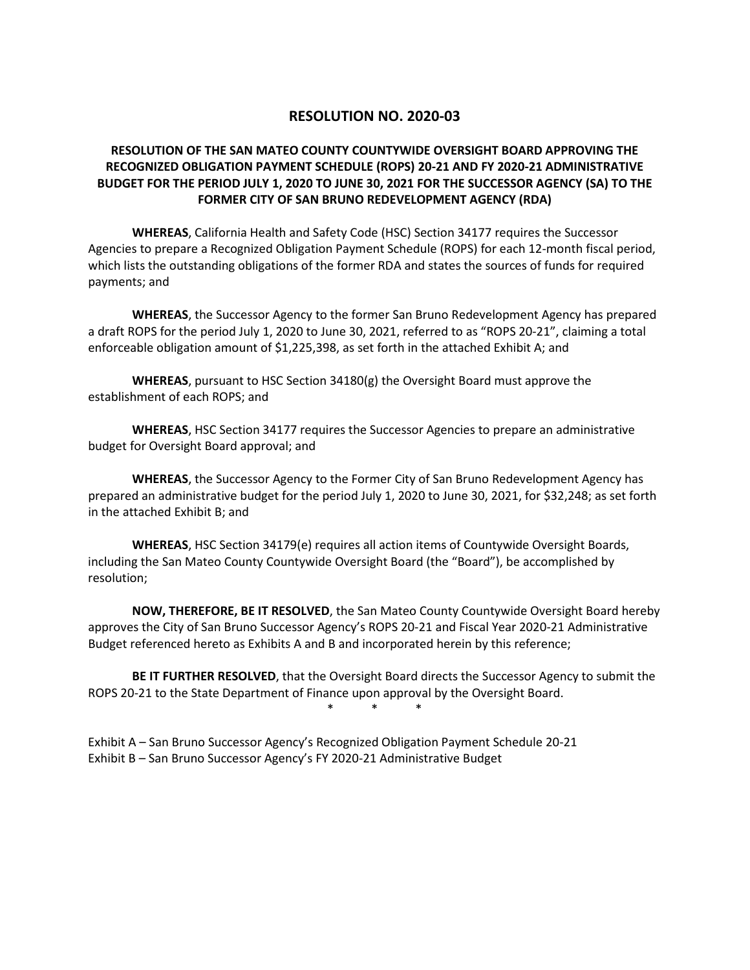### **RESOLUTION NO. 2020-03**

### **RESOLUTION OF THE SAN MATEO COUNTY COUNTYWIDE OVERSIGHT BOARD APPROVING THE RECOGNIZED OBLIGATION PAYMENT SCHEDULE (ROPS) 20-21 AND FY 2020-21 ADMINISTRATIVE BUDGET FOR THE PERIOD JULY 1, 2020 TO JUNE 30, 2021 FOR THE SUCCESSOR AGENCY (SA) TO THE FORMER CITY OF SAN BRUNO REDEVELOPMENT AGENCY (RDA)**

**WHEREAS**, California Health and Safety Code (HSC) Section 34177 requires the Successor Agencies to prepare a Recognized Obligation Payment Schedule (ROPS) for each 12-month fiscal period, which lists the outstanding obligations of the former RDA and states the sources of funds for required payments; and

**WHEREAS**, the Successor Agency to the former San Bruno Redevelopment Agency has prepared a draft ROPS for the period July 1, 2020 to June 30, 2021, referred to as "ROPS 20-21", claiming a total enforceable obligation amount of \$1,225,398, as set forth in the attached Exhibit A; and

**WHEREAS**, pursuant to HSC Section 34180(g) the Oversight Board must approve the establishment of each ROPS; and

**WHEREAS**, HSC Section 34177 requires the Successor Agencies to prepare an administrative budget for Oversight Board approval; and

**WHEREAS**, the Successor Agency to the Former City of San Bruno Redevelopment Agency has prepared an administrative budget for the period July 1, 2020 to June 30, 2021, for \$32,248; as set forth in the attached Exhibit B; and

**WHEREAS**, HSC Section 34179(e) requires all action items of Countywide Oversight Boards, including the San Mateo County Countywide Oversight Board (the "Board"), be accomplished by resolution;

**NOW, THEREFORE, BE IT RESOLVED**, the San Mateo County Countywide Oversight Board hereby approves the City of San Bruno Successor Agency's ROPS 20-21 and Fiscal Year 2020-21 Administrative Budget referenced hereto as Exhibits A and B and incorporated herein by this reference;

**BE IT FURTHER RESOLVED**, that the Oversight Board directs the Successor Agency to submit the ROPS 20-21 to the State Department of Finance upon approval by the Oversight Board.

\* \* \*

Exhibit A – San Bruno Successor Agency's Recognized Obligation Payment Schedule 20-21 Exhibit B – San Bruno Successor Agency's FY 2020-21 Administrative Budget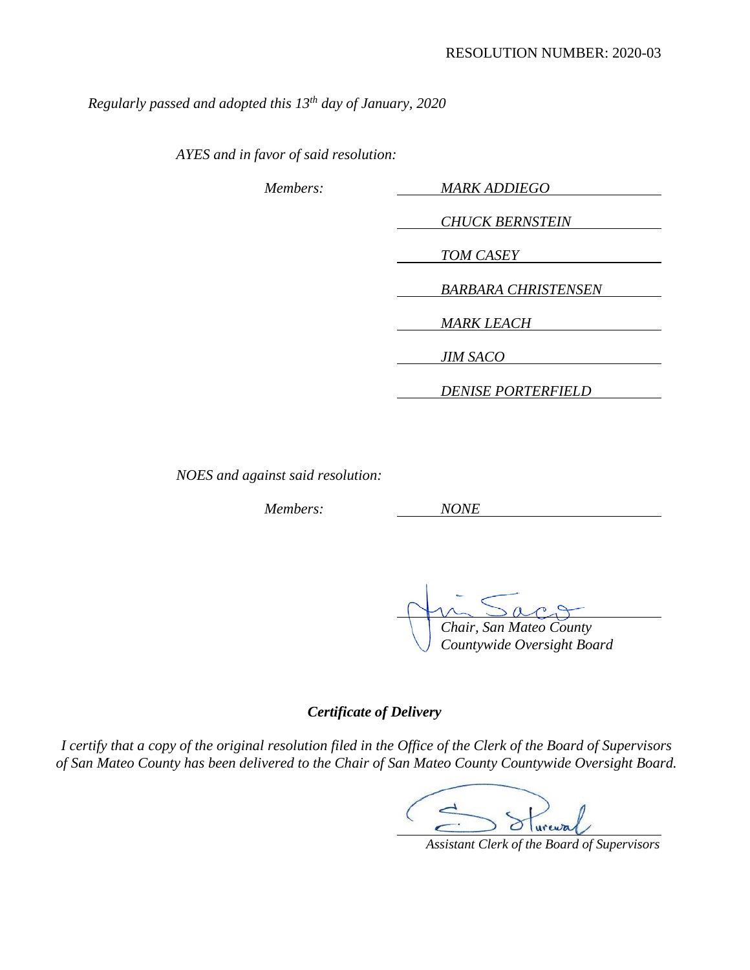*Regularly passed and adopted this 13th day of January, 2020*

*AYES and in favor of said resolution:*

| Members: | <b>MARK ADDIEGO</b>        |
|----------|----------------------------|
|          |                            |
|          | <b>CHUCK BERNSTEIN</b>     |
|          | <b>TOM CASEY</b>           |
|          | <b>BARBARA CHRISTENSEN</b> |
|          |                            |
|          | <b>MARK LEACH</b>          |
|          | <b>JIM SACO</b>            |
|          |                            |
|          | <b>DENISE PORTERFIELD</b>  |

*NOES and against said resolution:*

*Members: NONE*

 *Chair, San Mateo County*

*Countywide Oversight Board*

*Certificate of Delivery*

*I certify that a copy of the original resolution filed in the Office of the Clerk of the Board of Supervisors of San Mateo County has been delivered to the Chair of San Mateo County Countywide Oversight Board.*

( Sureway

 *Assistant Clerk of the Board of Supervisors*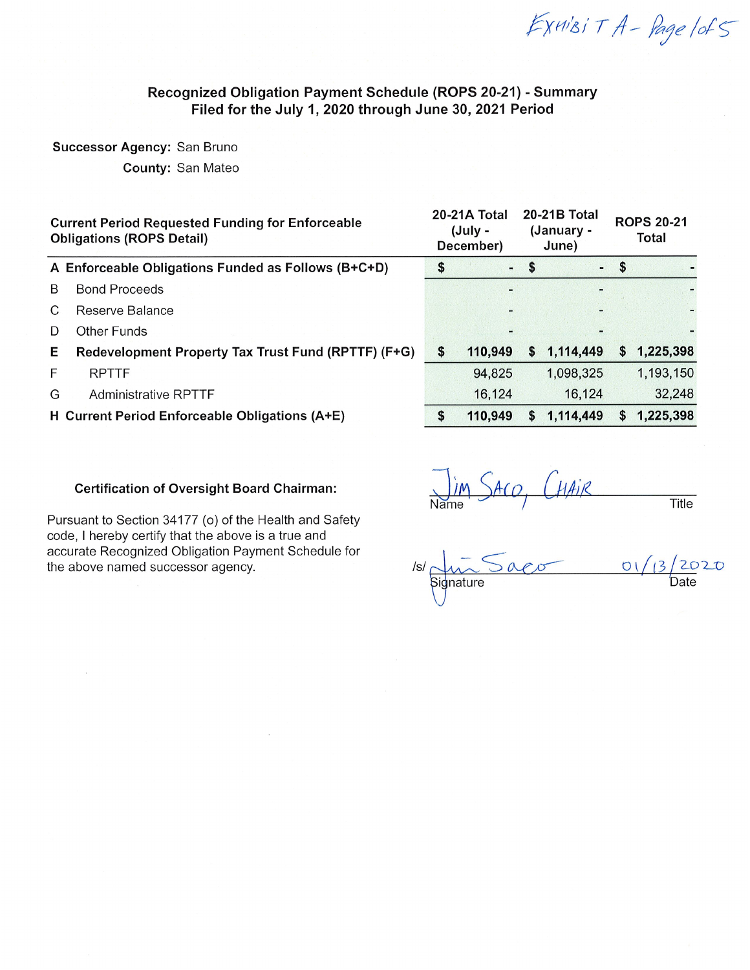EXHIBIT A - Page lof5

### Recognized Obligation Payment Schedule (ROPS 20-21) - Summary Filed for the July 1, 2020 through June 30, 2021 Period

#### Successor Agency: San Bruno

**County: San Mateo** 

| $-5$<br>$-5$<br>\$<br>A Enforceable Obligations Funded as Follows (B+C+D)<br><b>Bond Proceeds</b><br>B        | <b>ROPS 20-21</b><br>Total |  |  |
|---------------------------------------------------------------------------------------------------------------|----------------------------|--|--|
|                                                                                                               |                            |  |  |
|                                                                                                               |                            |  |  |
| C<br>Reserve Balance                                                                                          |                            |  |  |
| Other Funds<br>D                                                                                              |                            |  |  |
| 1,225,398<br>1,114,449<br>Redevelopment Property Tax Trust Fund (RPTTF) (F+G)<br>110,949<br>Е<br>S<br>S<br>S. |                            |  |  |
| 1,193,150<br>F.<br><b>RPTTF</b><br>94,825<br>1,098,325                                                        |                            |  |  |
| 16,124<br>16,124<br><b>Administrative RPTTF</b><br>G                                                          | 32,248                     |  |  |
| 1,225,398<br>H Current Period Enforceable Obligations (A+E)<br>110,949<br>1,114,449<br>S.<br>S<br>S           |                            |  |  |

#### **Certification of Oversight Board Chairman:**

Pursuant to Section 34177 (o) of the Health and Safety code, I hereby certify that the above is a true and accurate Recognized Obligation Payment Schedule for the above named successor agency.

I'm SACO, CHAIR Title

| $\sqrt{s}$ | 01/13/2020 |
|------------|------------|
| Signature  | Ťe.        |
|            |            |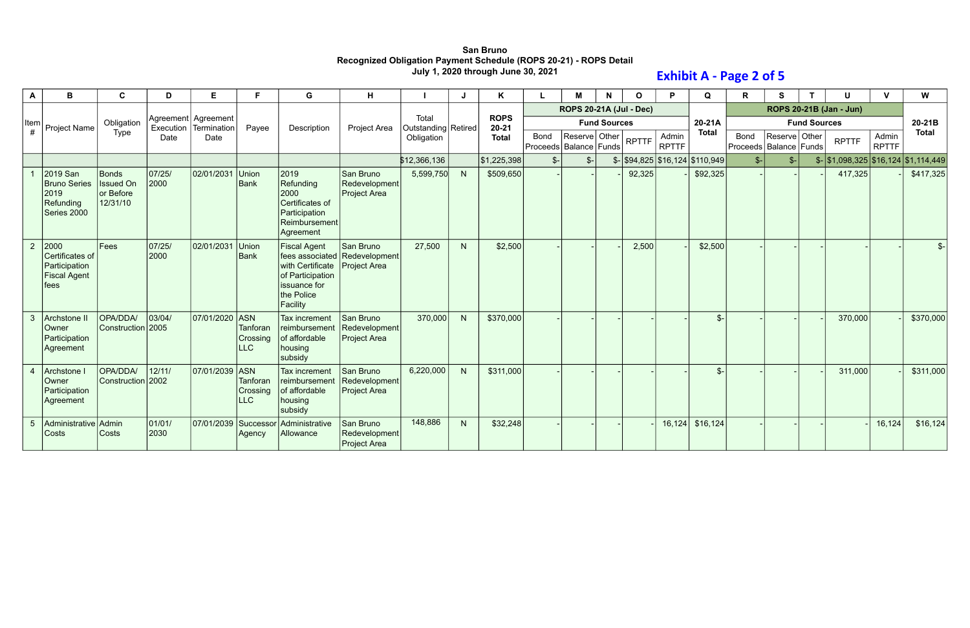## **San Bruno Recognized Obligation Payment Schedule (ROPS 20-21) - ROPS Detail July 1, 2020 through June 30, 2021**

| $\mathbf{A}$    | B                                                                          | C                                                  | D              | Е                                    |                                    | G                                                                                                     | н                                                          |                              |              | K                        |                                           | М                              | N                   | <sup>o</sup> | P                     | Q                                            | $\mathsf{R}$                       | S             |                     |                                             |                       | W            |
|-----------------|----------------------------------------------------------------------------|----------------------------------------------------|----------------|--------------------------------------|------------------------------------|-------------------------------------------------------------------------------------------------------|------------------------------------------------------------|------------------------------|--------------|--------------------------|-------------------------------------------|--------------------------------|---------------------|--------------|-----------------------|----------------------------------------------|------------------------------------|---------------|---------------------|---------------------------------------------|-----------------------|--------------|
|                 |                                                                            |                                                    |                |                                      |                                    |                                                                                                       |                                                            |                              |              |                          |                                           | <b>ROPS 20-21A (Jul - Dec)</b> |                     |              |                       |                                              |                                    |               |                     | ROPS 20-21B (Jan - Jun)                     |                       |              |
| Item            | Project Name                                                               | Obligation                                         | Execution      | Agreement   Agreement<br>Termination | Payee                              | Description                                                                                           | <b>Project Area</b>                                        | Total<br>Outstanding Retired |              | <b>ROPS</b><br>$20 - 21$ |                                           |                                | <b>Fund Sources</b> |              |                       | 20-21A                                       |                                    |               | <b>Fund Sources</b> |                                             |                       | 20-21B       |
| #               |                                                                            | Type                                               | Date           | Date                                 |                                    |                                                                                                       |                                                            | Obligation                   |              | <b>Total</b>             | <b>Bond</b><br>Proceeds   Balance   Funds | Reserve Other                  |                     | <b>RPTTF</b> | Admin<br><b>RPTTF</b> | <b>Total</b>                                 | Bond<br>Proceeds   Balance   Funds | Reserve Other |                     | <b>RPTTF</b>                                | Admin<br><b>RPTTF</b> | <b>Total</b> |
|                 |                                                                            |                                                    |                |                                      |                                    |                                                                                                       |                                                            | \$12,366,136                 |              | \$1,225,398              | $S-$                                      | $S-$                           |                     |              |                       | $\frac{1}{2}$ \\$94,825 \\$16,124 \\$110,949 | $S-$                               | $s-$          |                     | $\frac{15}{1,098,325}$ \$16,124 \$1,114,449 |                       |              |
|                 | 2019 San<br><b>Bruno Series</b><br>2019<br><b>Refunding</b><br>Series 2000 | Bonds<br><b>Issued On</b><br>or Before<br>12/31/10 | 07/25/<br>2000 | 02/01/2031                           | Union<br>Bank                      | 2019<br>Refunding<br>2000<br>Certificates of<br>Participation<br>Reimbursement<br>Agreement           | San Bruno<br>Redevelopment<br><b>Project Area</b>          | 5,599,750                    |              | \$509,650                |                                           |                                |                     | 92,325       |                       | \$92,325                                     |                                    |               |                     | 417,325                                     |                       | \$417,325    |
| $\overline{2}$  | 2000<br>Certificates of<br>Participation<br><b>Fiscal Agent</b><br>fees    | Fees                                               | 07/25/<br>2000 | 02/01/2031                           | Union<br>Bank                      | <b>Fiscal Agent</b><br>with Certificate<br>of Participation<br>issuance for<br>the Police<br>Facility | San Bruno<br>fees associated Redevelopment<br>Project Area | 27,500                       | N            | \$2,500                  |                                           |                                |                     | 2,500        |                       | \$2,500                                      |                                    |               |                     |                                             |                       | $S-$         |
| $\mathbf{3}$    | Archstone II<br>Owner<br>Participation<br>Agreement                        | OPA/DDA/<br>Construction 2005                      | 03/04/         | 07/01/2020                           | ASN<br>Tanforan<br>Crossing<br>LLC | Tax increment<br>reimbursement<br>of affordable<br>housing<br>subsidy                                 | San Bruno<br>Redevelopment<br><b>Project Area</b>          | 370,000                      | N            | \$370,000                |                                           |                                |                     |              |                       | $\mathcal{S}$                                |                                    |               |                     | 370,000                                     |                       | \$370,000    |
| $\overline{4}$  | Archstone<br><b>Owner</b><br>Participation<br>Agreement                    | OPA/DDA/<br>Construction 2002                      | 12/11/         | 07/01/2039                           | ASN<br>Tanforan<br>Crossing<br>LLC | Tax increment<br>reimbursement<br>of affordable<br>housing<br>subsidy                                 | San Bruno<br>Redevelopment<br><b>Project Area</b>          | 6,220,000                    |              | \$311,000                |                                           |                                |                     |              |                       | $\mathbb{S}^-$                               |                                    |               |                     | 311,000                                     |                       | \$311,000    |
| $5\overline{)}$ | Administrative Admin<br>Costs                                              | <b>Costs</b>                                       | 01/01/<br>2030 | 07/01/2039                           | Successor<br>Agency                | Administrative<br>Allowance                                                                           | San Bruno<br>Redevelopment<br><b>Project Area</b>          | 148,886                      | $\mathsf{N}$ | \$32,248                 |                                           |                                |                     |              | 16, 124               | \$16,124                                     |                                    |               |                     |                                             | 16,124                | \$16,124     |

## **Exhibit A - Page 2 of 5**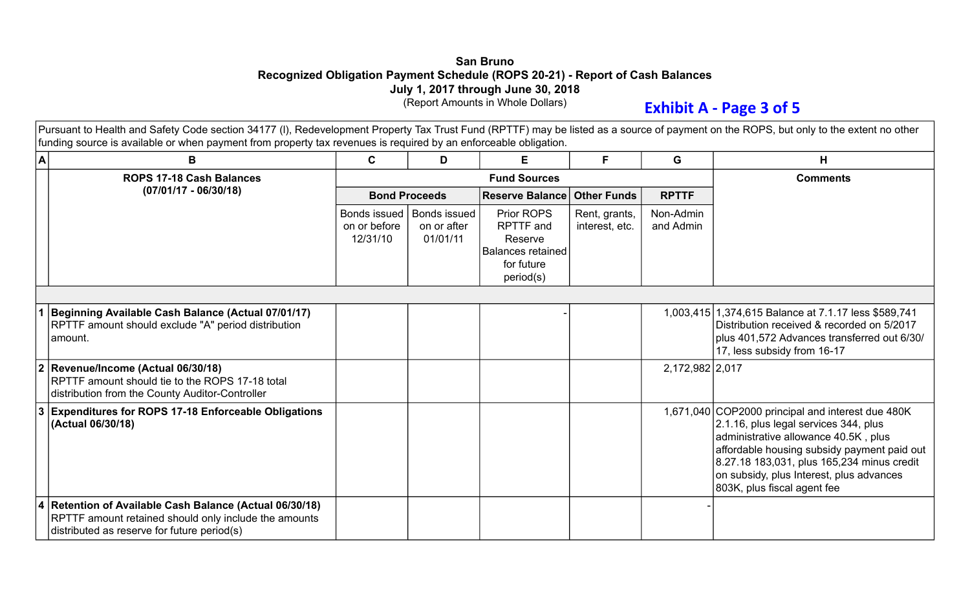## **San Bruno Recognized Obligation Payment Schedule (ROPS 20-21) - Report of Cash Balances July 1, 2017 through June 30, 2018**

(Report Amounts in Whole Dollars)

## **Exhibit A - Page 3 of 5**

Pursuant to Health and Safety Code section 34177 (I), Redevelopment Property Tax Trust Fund (RPTTF) may be listed as a source of payment on the ROPS, but only to the extent no other funding source is available or when payment from property tax revenues is required by an enforceable obligation.

| A           | B                                                                                                                                                               | C                                        | D                                       | F.                                                                                               | F.                              | G                      | Н                                                                                                                                                                                                                                                                                                          |
|-------------|-----------------------------------------------------------------------------------------------------------------------------------------------------------------|------------------------------------------|-----------------------------------------|--------------------------------------------------------------------------------------------------|---------------------------------|------------------------|------------------------------------------------------------------------------------------------------------------------------------------------------------------------------------------------------------------------------------------------------------------------------------------------------------|
|             | <b>ROPS 17-18 Cash Balances</b>                                                                                                                                 |                                          |                                         | <b>Fund Sources</b>                                                                              |                                 |                        | <b>Comments</b>                                                                                                                                                                                                                                                                                            |
|             | $(07/01/17 - 06/30/18)$                                                                                                                                         | <b>Bond Proceeds</b>                     |                                         | <b>Reserve Balance</b>                                                                           | <b>Other Funds</b>              | <b>RPTTF</b>           |                                                                                                                                                                                                                                                                                                            |
|             |                                                                                                                                                                 | Bonds issued<br>on or before<br>12/31/10 | Bonds issued<br>on or after<br>01/01/11 | Prior ROPS<br><b>RPTTF</b> and<br>Reserve<br><b>Balances retained</b><br>for future<br>period(s) | Rent, grants,<br>interest, etc. | Non-Admin<br>and Admin |                                                                                                                                                                                                                                                                                                            |
|             |                                                                                                                                                                 |                                          |                                         |                                                                                                  |                                 |                        |                                                                                                                                                                                                                                                                                                            |
|             | Beginning Available Cash Balance (Actual 07/01/17)<br>RPTTF amount should exclude "A" period distribution<br>amount.                                            |                                          |                                         |                                                                                                  |                                 |                        | 1,003,415 1,374,615 Balance at 7.1.17 less \$589,741<br>Distribution received & recorded on 5/2017<br>plus 401,572 Advances transferred out 6/30/<br>17, less subsidy from 16-17                                                                                                                           |
| $ 2\rangle$ | Revenue/Income (Actual 06/30/18)<br>RPTTF amount should tie to the ROPS 17-18 total<br>distribution from the County Auditor-Controller                          |                                          |                                         |                                                                                                  |                                 | 2,172,982 2,017        |                                                                                                                                                                                                                                                                                                            |
| 13          | <b>Expenditures for ROPS 17-18 Enforceable Obligations</b><br>(Actual 06/30/18)                                                                                 |                                          |                                         |                                                                                                  |                                 |                        | 1,671,040 COP2000 principal and interest due 480K<br>2.1.16, plus legal services 344, plus<br>administrative allowance 40.5K, plus<br>affordable housing subsidy payment paid out<br>8.27.18 183,031, plus 165,234 minus credit<br>on subsidy, plus Interest, plus advances<br>803K, plus fiscal agent fee |
|             | 4 Retention of Available Cash Balance (Actual 06/30/18)<br>RPTTF amount retained should only include the amounts<br>distributed as reserve for future period(s) |                                          |                                         |                                                                                                  |                                 |                        |                                                                                                                                                                                                                                                                                                            |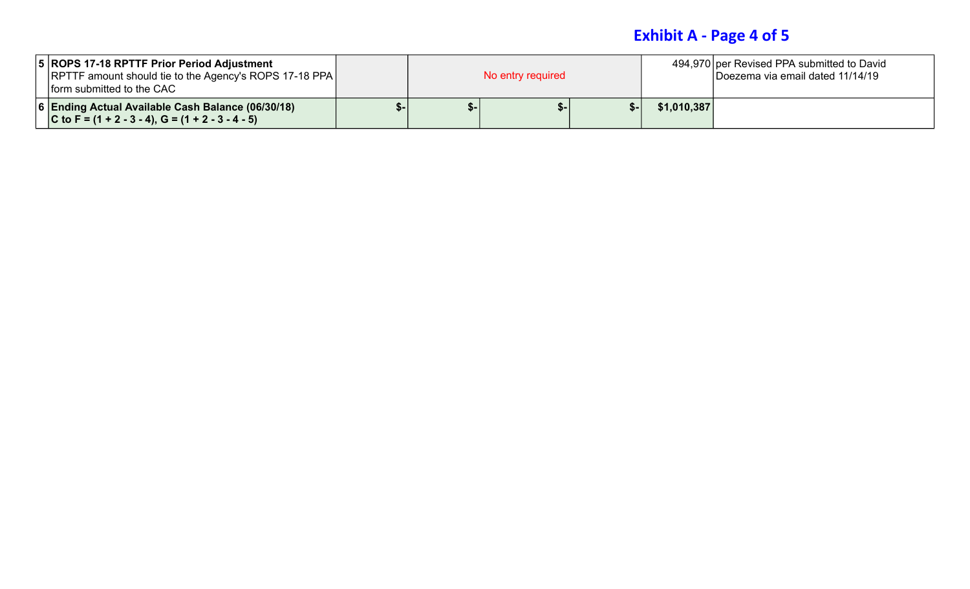## **Exhibit A - Page 4 of 5**

| 5 ROPS 17-18 RPTTF Prior Period Adjustment<br><b>RPTTF amount should tie to the Agency's ROPS 17-18 PPA</b><br><b>Iform submitted to the CAC</b> | No entry required |  |  |  |             | 494,970 per Revised PPA submitted to David<br>Doezema via email dated 11/14/19 |
|--------------------------------------------------------------------------------------------------------------------------------------------------|-------------------|--|--|--|-------------|--------------------------------------------------------------------------------|
| 6 Ending Actual Available Cash Balance (06/30/18)<br>C to F = $(1 + 2 - 3 - 4)$ , G = $(1 + 2 - 3 - 4 - 5)$                                      |                   |  |  |  | \$1,010,387 |                                                                                |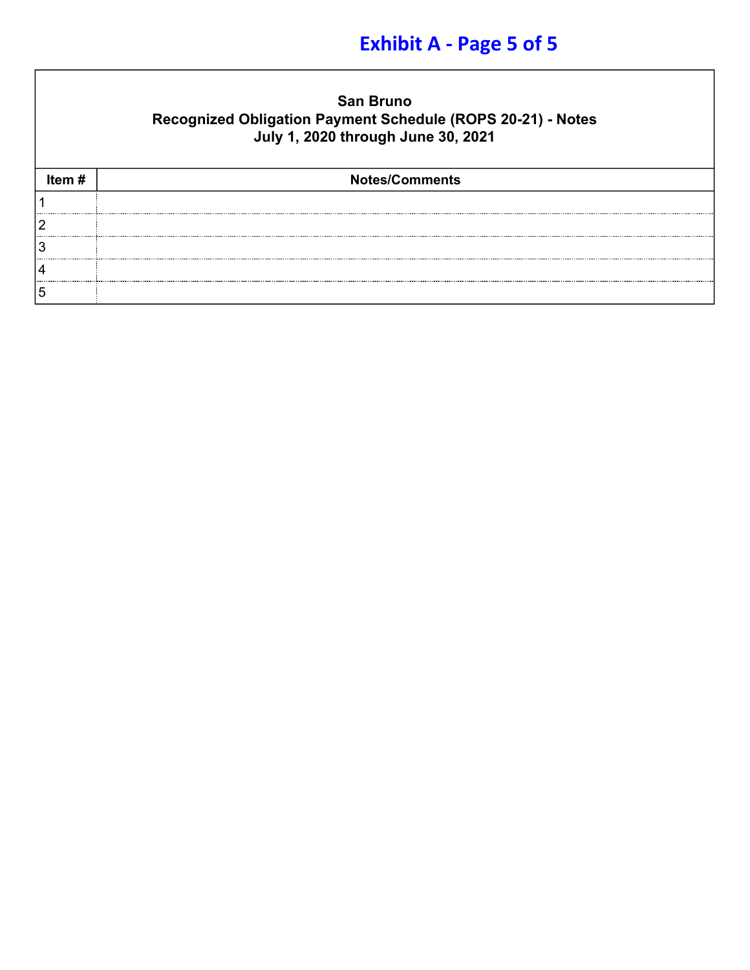# **Exhibit A - Page 5 of 5**

| <b>San Bruno</b>                                            |
|-------------------------------------------------------------|
| Recognized Obligation Payment Schedule (ROPS 20-21) - Notes |
| July 1, 2020 through June 30, 2021                          |

| Item# | <b>Notes/Comments</b> |
|-------|-----------------------|
|       |                       |
|       |                       |
| ن ا   |                       |
|       |                       |
| 15    |                       |